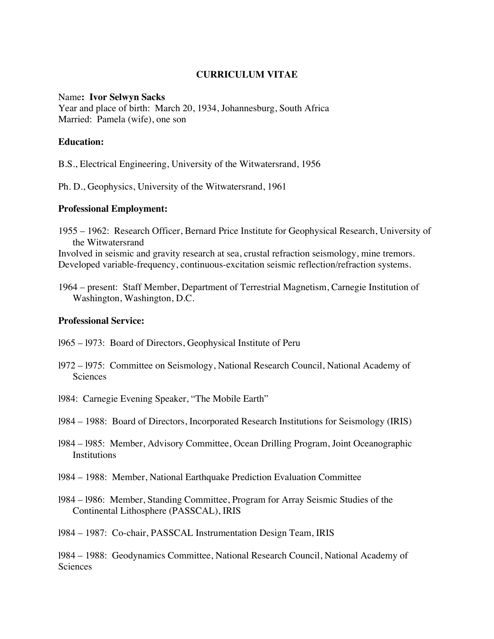## **CURRICULUM VITAE**

#### Name**: Ivor Selwyn Sacks**

Year and place of birth: March 20, 1934, Johannesburg, South Africa Married: Pamela (wife), one son

## **Education:**

B.S., Electrical Engineering, University of the Witwatersrand, 1956

Ph. D., Geophysics, University of the Witwatersrand, 1961

# **Professional Employment:**

1955 – 1962: Research Officer, Bernard Price Institute for Geophysical Research, University of the Witwatersrand

Involved in seismic and gravity research at sea, crustal refraction seismology, mine tremors. Developed variable-frequency, continuous-excitation seismic reflection/refraction systems.

1964 – present: Staff Member, Department of Terrestrial Magnetism, Carnegie Institution of Washington, Washington, D.C.

## **Professional Service:**

- l965 l973: Board of Directors, Geophysical Institute of Peru
- l972 l975: Committee on Seismology, National Research Council, National Academy of Sciences
- l984: Carnegie Evening Speaker, "The Mobile Earth"
- l984 1988: Board of Directors, Incorporated Research Institutions for Seismology (IRIS)
- l984 l985: Member, Advisory Committee, Ocean Drilling Program, Joint Oceanographic **Institutions**
- l984 1988: Member, National Earthquake Prediction Evaluation Committee
- l984 l986: Member, Standing Committee, Program for Array Seismic Studies of the Continental Lithosphere (PASSCAL), IRIS
- l984 1987: Co-chair, PASSCAL Instrumentation Design Team, IRIS

l984 – 1988: Geodynamics Committee, National Research Council, National Academy of **Sciences**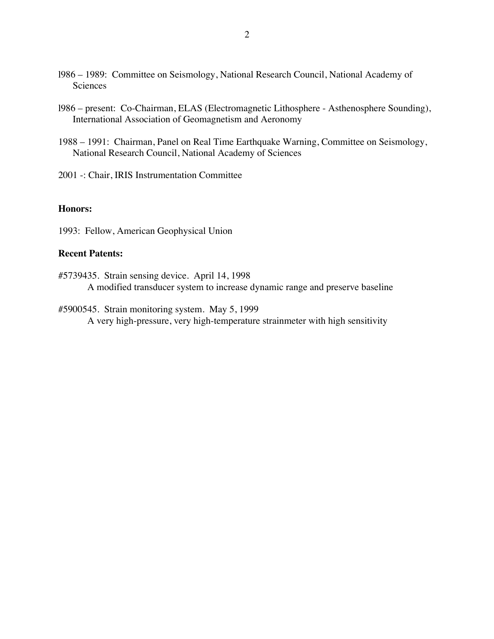- l986 1989: Committee on Seismology, National Research Council, National Academy of Sciences
- l986 present: Co-Chairman, ELAS (Electromagnetic Lithosphere Asthenosphere Sounding), International Association of Geomagnetism and Aeronomy
- 1988 1991: Chairman, Panel on Real Time Earthquake Warning, Committee on Seismology, National Research Council, National Academy of Sciences

2001 -: Chair, IRIS Instrumentation Committee

### **Honors:**

1993: Fellow, American Geophysical Union

#### **Recent Patents:**

- #5739435. Strain sensing device. April 14, 1998 A modified transducer system to increase dynamic range and preserve baseline
- #5900545. Strain monitoring system. May 5, 1999 A very high-pressure, very high-temperature strainmeter with high sensitivity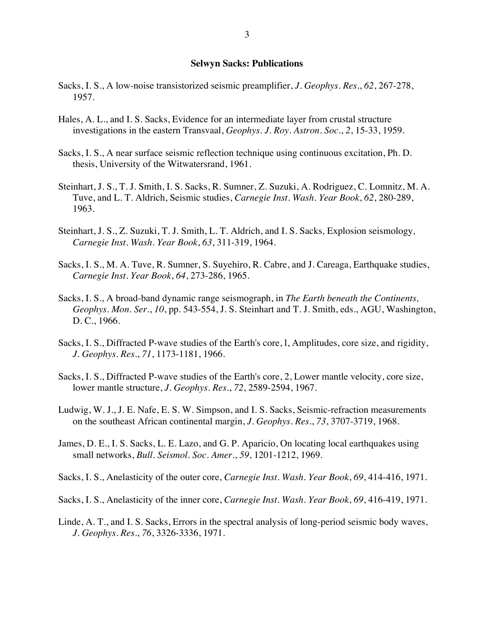#### **Selwyn Sacks: Publications**

- Sacks, I. S., A low-noise transistorized seismic preamplifier, *J. Geophys. Res*., *62*, 267-278, 1957.
- Hales, A. L., and I. S. Sacks, Evidence for an intermediate layer from crustal structure investigations in the eastern Transvaal, *Geophys. J. Roy. Astron. Soc*., *2*, 15-33, 1959.
- Sacks, I. S., A near surface seismic reflection technique using continuous excitation, Ph. D. thesis, University of the Witwatersrand, 1961.
- Steinhart, J. S., T. J. Smith, I. S. Sacks, R. Sumner, Z. Suzuki, A. Rodriguez, C. Lomnitz, M. A. Tuve, and L. T. Aldrich, Seismic studies, *Carnegie Inst. Wash. Year Book*, *62*, 280-289, 1963.
- Steinhart, J. S., Z. Suzuki, T. J. Smith, L. T. Aldrich, and I. S. Sacks*,* Explosion seismology*, Carnegie Inst. Wash. Year Book*, *63*, 311-319, 1964.
- Sacks, I. S., M. A. Tuve, R. Sumner, S. Suyehiro, R. Cabre, and J. Careaga, Earthquake studies, *Carnegie Inst. Year Book*, *64*, 273-286, 1965.
- Sacks, I. S., A broad-band dynamic range seismograph, in *The Earth beneath the Continents, Geophys. Mon. Ser.*, *10*, pp. 543-554, J. S. Steinhart and T. J. Smith, eds., AGU, Washington, D. C., 1966.
- Sacks, I. S., Diffracted P-wave studies of the Earth's core, l, Amplitudes, core size, and rigidity, *J. Geophys. Res*., *71*, 1173-1181, 1966.
- Sacks, I. S., Diffracted P-wave studies of the Earth's core, 2, Lower mantle velocity, core size, lower mantle structure, *J. Geophys. Res*., *72*, 2589-2594, 1967.
- Ludwig, W. J., J. E. Nafe, E. S. W. Simpson, and I. S. Sacks, Seismic-refraction measurements on the southeast African continental margin, *J. Geophys. Res*., *73*, 3707-3719, 1968.
- James, D. E., I. S. Sacks, L. E. Lazo, and G. P. Aparicio, On locating local earthquakes using small networks, *Bull. Seismol. Soc. Amer*., *59*, 1201-1212, 1969.
- Sacks, I. S., Anelasticity of the outer core, *Carnegie Inst. Wash. Year Book*, *69*, 414-416, 1971.

Sacks, I. S., Anelasticity of the inner core, *Carnegie Inst. Wash. Year Book*, *69*, 416-419, 1971.

Linde, A. T., and I. S. Sacks, Errors in the spectral analysis of long-period seismic body waves, *J. Geophys. Res*., *76*, 3326-3336, 1971.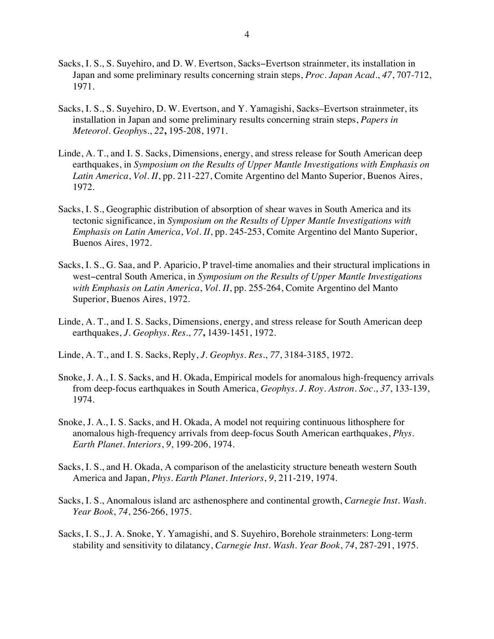- Sacks, I. S., S. Suyehiro, and D. W. Evertson, Sacks−Evertson strainmeter, its installation in Japan and some preliminary results concerning strain steps, *Proc. Japan Acad*., *47*, 707-712, 1971.
- Sacks, I. S., S. Suyehiro, D. W. Evertson, and Y. Yamagishi, Sacks–Evertson strainmeter, its installation in Japan and some preliminary results concerning strain steps, *Papers in Meteorol. Geophy*s., *22***,** 195-208, 1971.
- Linde, A. T., and I. S. Sacks, Dimensions, energy, and stress release for South American deep earthquakes, in *Symposium on the Results of Upper Mantle Investigations with Emphasis on Latin America*, *Vol. II*, pp. 211-227, Comite Argentino del Manto Superior, Buenos Aires, 1972.
- Sacks, I. S., Geographic distribution of absorption of shear waves in South America and its tectonic significance, in *Symposium on the Results of Upper Mantle Investigations with Emphasis on Latin America*, *Vol. II*, pp. 245-253, Comite Argentino del Manto Superior, Buenos Aires, 1972.
- Sacks, I. S., G. Saa, and P. Aparicio, P travel-time anomalies and their structural implications in west−central South America, in *Symposium on the Results of Upper Mantle Investigations with Emphasis on Latin America*, *Vol. II*, pp. 255-264, Comite Argentino del Manto Superior, Buenos Aires, 1972.
- Linde, A. T., and I. S. Sacks, Dimensions, energy, and stress release for South American deep earthquakes, *J. Geophys. Res*., *77***,** 1439-1451, 1972.
- Linde, A. T., and I. S. Sacks, Reply, *J. Geophys. Res*., *77*, 3184-3185, 1972.
- Snoke, J. A., I. S. Sacks, and H. Okada, Empirical models for anomalous high-frequency arrivals from deep-focus earthquakes in South America, *Geophys. J. Roy. Astron. Soc*., *37*, 133-139, 1974.
- Snoke, J. A., I. S. Sacks, and H. Okada, A model not requiring continuous lithosphere for anomalous high-frequency arrivals from deep-focus South American earthquakes, *Phys. Earth Planet. Interiors*, *9*, 199-206, 1974.
- Sacks, I. S., and H. Okada, A comparison of the anelasticity structure beneath western South America and Japan, *Phys. Earth Planet. Interiors*, *9*, 211-219, 1974.
- Sacks, I. S., Anomalous island arc asthenosphere and continental growth, *Carnegie Inst. Wash. Year Book*, *74*, 256-266, 1975.
- Sacks, I. S., J. A. Snoke, Y. Yamagishi, and S. Suyehiro, Borehole strainmeters: Long-term stability and sensitivity to dilatancy, *Carnegie Inst. Wash. Year Book*, *74*, 287-291, 1975.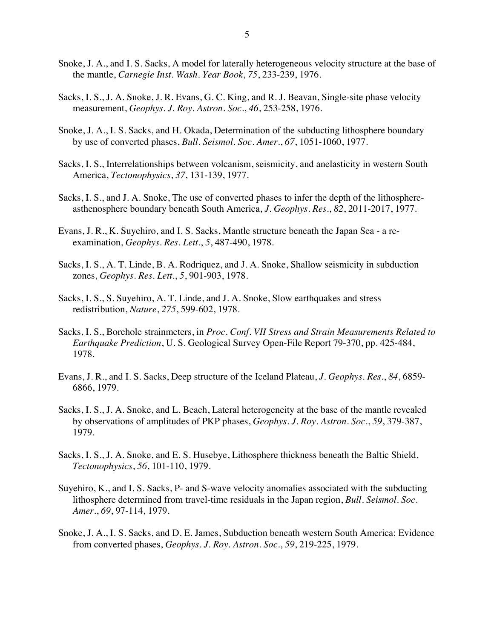- Snoke, J. A., and I. S. Sacks, A model for laterally heterogeneous velocity structure at the base of the mantle, *Carnegie Inst. Wash. Year Book*, *75*, 233-239, 1976.
- Sacks, I. S., J. A. Snoke, J. R. Evans, G. C. King, and R. J. Beavan, Single-site phase velocity measurement, *Geophys. J. Roy. Astron. Soc*., *46*, 253-258, 1976.
- Snoke, J. A., I. S. Sacks, and H. Okada, Determination of the subducting lithosphere boundary by use of converted phases, *Bull. Seismol. Soc. Amer*., *67*, 1051-1060, 1977.
- Sacks, I. S., Interrelationships between volcanism, seismicity, and anelasticity in western South America, *Tectonophysics*, *37*, 131-139, 1977.
- Sacks, I. S., and J. A. Snoke, The use of converted phases to infer the depth of the lithosphereasthenosphere boundary beneath South America, *J. Geophys. Res*., *82*, 2011-2017, 1977.
- Evans, J. R., K. Suyehiro, and I. S. Sacks, Mantle structure beneath the Japan Sea a reexamination, *Geophys. Res. Lett*., *5*, 487-490, 1978.
- Sacks, I. S., A. T. Linde, B. A. Rodriquez, and J. A. Snoke, Shallow seismicity in subduction zones, *Geophys. Res. Lett*., *5*, 901-903, 1978.
- Sacks, I. S., S. Suyehiro, A. T. Linde, and J. A. Snoke, Slow earthquakes and stress redistribution, *Nature*, *275*, 599-602, 1978.
- Sacks, I. S., Borehole strainmeters, in *Proc. Conf. VII Stress and Strain Measurements Related to Earthquake Prediction*, U. S. Geological Survey Open-File Report 79-370, pp. 425-484, 1978.
- Evans, J. R., and I. S. Sacks, Deep structure of the Iceland Plateau, *J. Geophys. Res*., *84*, 6859- 6866, 1979.
- Sacks, I. S., J. A. Snoke, and L. Beach, Lateral heterogeneity at the base of the mantle revealed by observations of amplitudes of PKP phases, *Geophys. J. Roy. Astron. Soc*., *59*, 379-387, 1979.
- Sacks, I. S., J. A. Snoke, and E. S. Husebye, Lithosphere thickness beneath the Baltic Shield, *Tectonophysics*, *56*, 101-110, 1979.
- Suyehiro, K., and I. S. Sacks, P- and S-wave velocity anomalies associated with the subducting lithosphere determined from travel-time residuals in the Japan region, *Bull. Seismol. Soc. Amer*., *69*, 97-114, 1979.
- Snoke, J. A., I. S. Sacks, and D. E. James, Subduction beneath western South America: Evidence from converted phases, *Geophys. J. Roy. Astron. Soc*., *59*, 219-225, 1979.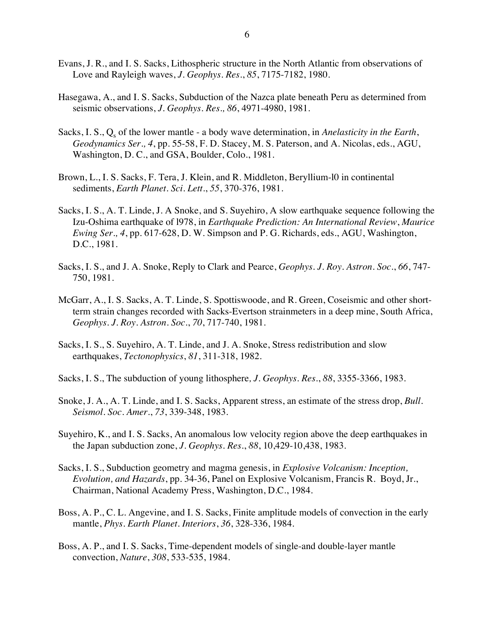- Evans, J. R., and I. S. Sacks, Lithospheric structure in the North Atlantic from observations of Love and Rayleigh waves, *J. Geophys. Res*., *85*, 7175-7182, 1980.
- Hasegawa, A., and I. S. Sacks, Subduction of the Nazca plate beneath Peru as determined from seismic observations, *J. Geophys. Res., 86*, 4971-4980, 1981.
- Sacks, I. S., Q<sub>s</sub> of the lower mantle a body wave determination, in *Anelasticity in the Earth*, *Geodynamics Ser., 4*, pp. 55-58, F. D. Stacey, M. S. Paterson, and A. Nicolas, eds., AGU, Washington, D. C., and GSA, Boulder, Colo., 1981.
- Brown, L., I. S. Sacks, F. Tera, J. Klein, and R. Middleton, Beryllium-l0 in continental sediments, *Earth Planet. Sci. Lett*., *55*, 370-376, 1981.
- Sacks, I. S., A. T. Linde, J. A Snoke, and S. Suyehiro, A slow earthquake sequence following the Izu-Oshima earthquake of l978, in *Earthquake Prediction: An International Review*, *Maurice Ewing Ser., 4*, pp. 617-628, D. W. Simpson and P. G. Richards, eds., AGU, Washington, D.C., 1981.
- Sacks, I. S., and J. A. Snoke, Reply to Clark and Pearce, *Geophys. J. Roy. Astron. Soc*., *66*, 747- 750, 1981.
- McGarr, A., I. S. Sacks, A. T. Linde, S. Spottiswoode, and R. Green, Coseismic and other shortterm strain changes recorded with Sacks-Evertson strainmeters in a deep mine, South Africa, *Geophys. J. Roy. Astron. Soc*., *70*, 717-740, 1981.
- Sacks, I. S., S. Suyehiro, A. T. Linde, and J. A. Snoke, Stress redistribution and slow earthquakes, *Tectonophysics*, *81*, 311-318, 1982.
- Sacks, I. S., The subduction of young lithosphere*, J. Geophys. Res*., *88*, 3355-3366, 1983.
- Snoke, J. A., A. T. Linde, and I. S. Sacks, Apparent stress, an estimate of the stress drop, *Bull. Seismol. Soc. Amer*., *73*, 339-348, 1983.
- Suyehiro, K., and I. S. Sacks, An anomalous low velocity region above the deep earthquakes in the Japan subduction zone, *J. Geophys. Res*., *88*, 10,429-10,438, 1983.
- Sacks, I. S., Subduction geometry and magma genesis, in *Explosive Volcanism: Inception, Evolution, and Hazards*, pp. 34-36, Panel on Explosive Volcanism, Francis R. Boyd, Jr., Chairman, National Academy Press, Washington, D.C., 1984.
- Boss, A. P., C. L. Angevine, and I. S. Sacks, Finite amplitude models of convection in the early mantle, *Phys. Earth Planet. Interiors*, *36*, 328-336, 1984.
- Boss, A. P., and I. S. Sacks, Time-dependent models of single-and double-layer mantle convection, *Nature*, *308*, 533-535, 1984.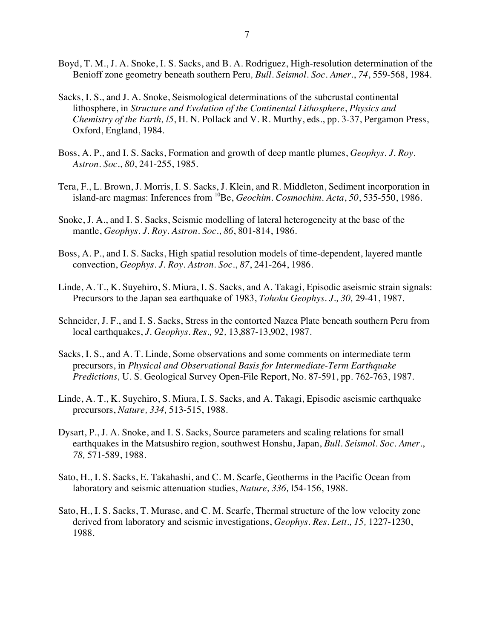- Boyd, T. M., J. A. Snoke, I. S. Sacks, and B. A. Rodriguez, High-resolution determination of the Benioff zone geometry beneath southern Peru*, Bull. Seismol. Soc. Amer*., *74*, 559-568, 1984.
- Sacks, I. S., and J. A. Snoke, Seismological determinations of the subcrustal continental lithosphere, in *Structure and Evolution of the Continental Lithosphere*, *Physics and Chemistry of the Earth, l5*, H. N. Pollack and V. R. Murthy, eds., pp. 3-37, Pergamon Press, Oxford, England, 1984.
- Boss, A. P., and I. S. Sacks, Formation and growth of deep mantle plumes, *Geophys. J. Roy. Astron. Soc*., *80*, 241-255, 1985.
- Tera, F., L. Brown, J. Morris, I. S. Sacks, J. Klein, and R. Middleton, Sediment incorporation in island-arc magmas: Inferences from <sup>10</sup>Be, *Geochim. Cosmochim. Acta*, 50, 535-550, 1986.
- Snoke, J. A., and I. S. Sacks, Seismic modelling of lateral heterogeneity at the base of the mantle, *Geophys. J. Roy. Astron. Soc*., *86*, 801-814, 1986.
- Boss, A. P., and I. S. Sacks, High spatial resolution models of time-dependent, layered mantle convection, *Geophys. J. Roy. Astron. Soc*., *87*, 241-264, 1986.
- Linde, A. T., K. Suyehiro, S. Miura, I. S. Sacks, and A. Takagi, Episodic aseismic strain signals: Precursors to the Japan sea earthquake of 1983, *Tohoku Geophys. J., 30,* 29-41, 1987.
- Schneider, J. F., and I. S. Sacks, Stress in the contorted Nazca Plate beneath southern Peru from local earthquakes, *J. Geophys. Res., 92,* 13,887-13,902, 1987.
- Sacks, I. S., and A. T. Linde, Some observations and some comments on intermediate term precursors, in *Physical and Observational Basis for Intermediate-Term Earthquake Predictions,* U. S. Geological Survey Open-File Report, No. 87-591, pp. 762-763, 1987.
- Linde, A. T., K. Suyehiro, S. Miura, I. S. Sacks, and A. Takagi, Episodic aseismic earthquake precursors, *Nature, 334,* 513-515, 1988.
- Dysart, P., J. A. Snoke, and I. S. Sacks, Source parameters and scaling relations for small earthquakes in the Matsushiro region, southwest Honshu, Japan, *Bull. Seismol. Soc. Amer.*, *78,* 571-589, 1988.
- Sato, H., I. S. Sacks, E. Takahashi, and C. M. Scarfe, Geotherms in the Pacific Ocean from laboratory and seismic attenuation studies, *Nature, 336,* l54-156, 1988.
- Sato, H., I. S. Sacks, T. Murase, and C. M. Scarfe, Thermal structure of the low velocity zone derived from laboratory and seismic investigations, *Geophys. Res. Lett., 15,* 1227-1230, 1988.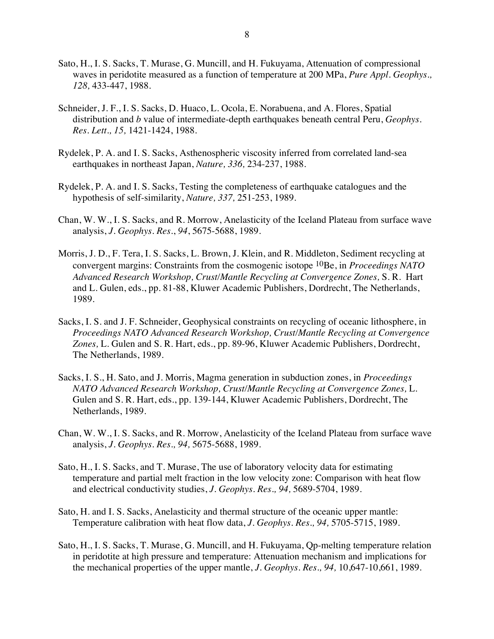- Sato, H., I. S. Sacks, T. Murase, G. Muncill, and H. Fukuyama, Attenuation of compressional waves in peridotite measured as a function of temperature at 200 MPa, *Pure Appl. Geophys., 128,* 433-447, 1988.
- Schneider, J. F., I. S. Sacks, D. Huaco, L. Ocola, E. Norabuena, and A. Flores, Spatial distribution and *b* value of intermediate-depth earthquakes beneath central Peru, *Geophys. Res. Lett., 15,* 1421-1424, 1988.
- Rydelek, P. A. and I. S. Sacks, Asthenospheric viscosity inferred from correlated land-sea earthquakes in northeast Japan, *Nature, 336,* 234-237, 1988.
- Rydelek, P. A. and I. S. Sacks, Testing the completeness of earthquake catalogues and the hypothesis of self-similarity, *Nature, 337,* 251-253, 1989.
- Chan, W. W., I. S. Sacks, and R. Morrow, Anelasticity of the Iceland Plateau from surface wave analysis, *J. Geophys. Res*., *94*, 5675-5688, 1989.
- Morris, J. D., F. Tera, I. S. Sacks, L. Brown, J. Klein, and R. Middleton, Sediment recycling at convergent margins: Constraints from the cosmogenic isotope 10Be, in *Proceedings NATO Advanced Research Workshop, Crust/Mantle Recycling at Convergence Zones,* S. R. Hart and L. Gulen, eds., pp. 81-88, Kluwer Academic Publishers, Dordrecht, The Netherlands, 1989.
- Sacks, I. S. and J. F. Schneider, Geophysical constraints on recycling of oceanic lithosphere, in *Proceedings NATO Advanced Research Workshop, Crust/Mantle Recycling at Convergence Zones,* L. Gulen and S. R. Hart, eds., pp. 89-96, Kluwer Academic Publishers, Dordrecht, The Netherlands, 1989.
- Sacks, I. S., H. Sato, and J. Morris, Magma generation in subduction zones, in *Proceedings NATO Advanced Research Workshop, Crust/Mantle Recycling at Convergence Zones,* L. Gulen and S. R. Hart, eds., pp. 139-144, Kluwer Academic Publishers, Dordrecht, The Netherlands, 1989.
- Chan, W. W., I. S. Sacks, and R. Morrow, Anelasticity of the Iceland Plateau from surface wave analysis, *J. Geophys. Res., 94,* 5675-5688, 1989.
- Sato, H., I. S. Sacks, and T. Murase, The use of laboratory velocity data for estimating temperature and partial melt fraction in the low velocity zone: Comparison with heat flow and electrical conductivity studies, *J. Geophys. Res., 94,* 5689-5704, 1989.
- Sato, H. and I. S. Sacks, Anelasticity and thermal structure of the oceanic upper mantle: Temperature calibration with heat flow data, *J. Geophys. Res., 94,* 5705-5715, 1989.
- Sato, H., I. S. Sacks, T. Murase, G. Muncill, and H. Fukuyama, Qp-melting temperature relation in peridotite at high pressure and temperature: Attenuation mechanism and implications for the mechanical properties of the upper mantle, *J. Geophys. Res., 94,* 10,647-10,661, 1989.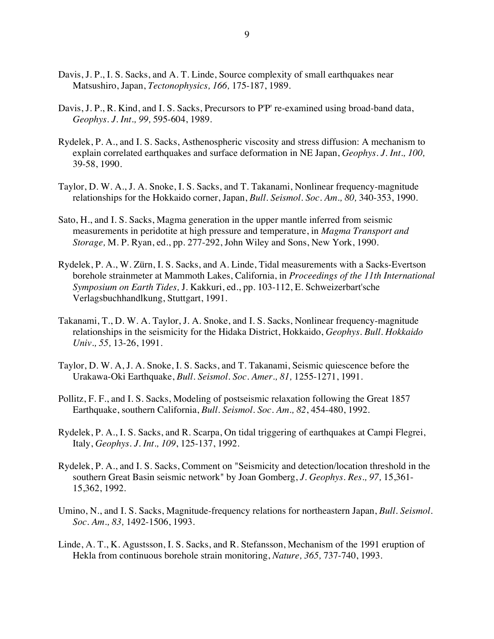- Davis, J. P., I. S. Sacks, and A. T. Linde, Source complexity of small earthquakes near Matsushiro, Japan, *Tectonophysics, 166,* 175-187, 1989.
- Davis, J. P., R. Kind, and I. S. Sacks, Precursors to P'P' re-examined using broad-band data, *Geophys. J. Int., 99,* 595-604, 1989.
- Rydelek, P. A., and I. S. Sacks, Asthenospheric viscosity and stress diffusion: A mechanism to explain correlated earthquakes and surface deformation in NE Japan, *Geophys. J. Int., 100,* 39-58, 1990.
- Taylor, D. W. A., J. A. Snoke, I. S. Sacks, and T. Takanami, Nonlinear frequency-magnitude relationships for the Hokkaido corner, Japan, *Bull. Seismol. Soc. Am., 80,* 340-353, 1990.
- Sato, H., and I. S. Sacks, Magma generation in the upper mantle inferred from seismic measurements in peridotite at high pressure and temperature, in *Magma Transport and Storage,* M. P. Ryan, ed., pp. 277-292, John Wiley and Sons, New York, 1990.
- Rydelek, P. A., W. Zürn, I. S. Sacks, and A. Linde, Tidal measurements with a Sacks-Evertson borehole strainmeter at Mammoth Lakes, California, in *Proceedings of the 11th International Symposium on Earth Tides,* J. Kakkuri, ed., pp. 103-112, E. Schweizerbart'sche Verlagsbuchhandlkung, Stuttgart, 1991.
- Takanami, T., D. W. A. Taylor, J. A. Snoke, and I. S. Sacks, Nonlinear frequency-magnitude relationships in the seismicity for the Hidaka District, Hokkaido, *Geophys. Bull. Hokkaido Univ., 55,* 13-26, 1991.
- Taylor, D. W. A, J. A. Snoke, I. S. Sacks, and T. Takanami, Seismic quiescence before the Urakawa-Oki Earthquake, *Bull. Seismol. Soc. Amer., 81,* 1255-1271, 1991.
- Pollitz, F. F., and I. S. Sacks, Modeling of postseismic relaxation following the Great 1857 Earthquake, southern California, *Bull. Seismol. Soc. Am., 82*, 454-480, 1992.
- Rydelek, P. A., I. S. Sacks, and R. Scarpa, On tidal triggering of earthquakes at Campi Flegrei, Italy, *Geophys. J. Int., 109*, 125-137, 1992.
- Rydelek, P. A., and I. S. Sacks, Comment on "Seismicity and detection/location threshold in the southern Great Basin seismic network" by Joan Gomberg, *J. Geophys. Res., 97,* 15,361- 15,362, 1992.
- Umino, N., and I. S. Sacks, Magnitude-frequency relations for northeastern Japan, *Bull. Seismol. Soc. Am., 83,* 1492-1506, 1993.
- Linde, A. T., K. Agustsson, I. S. Sacks, and R. Stefansson, Mechanism of the 1991 eruption of Hekla from continuous borehole strain monitoring, *Nature, 365,* 737-740, 1993.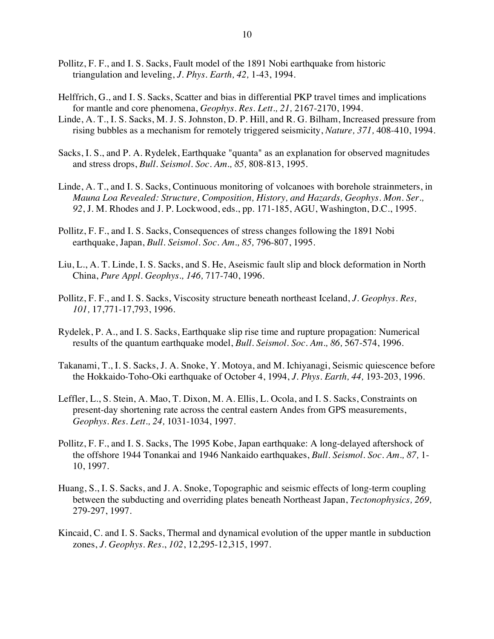- Pollitz, F. F., and I. S. Sacks, Fault model of the 1891 Nobi earthquake from historic triangulation and leveling, *J. Phys. Earth, 42,* 1-43, 1994.
- Helffrich, G., and I. S. Sacks, Scatter and bias in differential PKP travel times and implications for mantle and core phenomena, *Geophys. Res. Lett., 21,* 2167-2170, 1994.
- Linde, A. T., I. S. Sacks, M. J. S. Johnston, D. P. Hill, and R. G. Bilham, Increased pressure from rising bubbles as a mechanism for remotely triggered seismicity, *Nature, 371,* 408-410, 1994.
- Sacks, I. S., and P. A. Rydelek, Earthquake "quanta" as an explanation for observed magnitudes and stress drops, *Bull. Seismol. Soc. Am., 85,* 808-813, 1995.
- Linde, A. T., and I. S. Sacks, Continuous monitoring of volcanoes with borehole strainmeters, in *Mauna Loa Revealed: Structure, Composition, History, and Hazards, Geophys. Mon. Ser., 92*, J. M. Rhodes and J. P. Lockwood, eds., pp. 171-185, AGU, Washington, D.C., 1995.
- Pollitz, F. F., and I. S. Sacks, Consequences of stress changes following the 1891 Nobi earthquake, Japan, *Bull. Seismol. Soc. Am., 85,* 796-807, 1995.
- Liu, L., A. T. Linde, I. S. Sacks, and S. He, Aseismic fault slip and block deformation in North China, *Pure Appl. Geophys., 146,* 717-740, 1996.
- Pollitz, F. F., and I. S. Sacks, Viscosity structure beneath northeast Iceland, *J. Geophys. Res, 101,* 17,771-17,793, 1996.
- Rydelek, P. A., and I. S. Sacks, Earthquake slip rise time and rupture propagation: Numerical results of the quantum earthquake model, *Bull. Seismol. Soc. Am., 86,* 567-574, 1996.
- Takanami, T., I. S. Sacks, J. A. Snoke, Y. Motoya, and M. Ichiyanagi, Seismic quiescence before the Hokkaido-Toho-Oki earthquake of October 4, 1994, *J. Phys. Earth, 44,* 193-203, 1996.
- Leffler, L., S. Stein, A. Mao, T. Dixon, M. A. Ellis, L. Ocola, and I. S. Sacks, Constraints on present-day shortening rate across the central eastern Andes from GPS measurements, *Geophys. Res. Lett., 24,* 1031-1034, 1997.
- Pollitz, F. F., and I. S. Sacks, The 1995 Kobe, Japan earthquake: A long-delayed aftershock of the offshore 1944 Tonankai and 1946 Nankaido earthquakes, *Bull. Seismol. Soc. Am., 87,* 1- 10, 1997.
- Huang, S., I. S. Sacks, and J. A. Snoke, Topographic and seismic effects of long-term coupling between the subducting and overriding plates beneath Northeast Japan, *Tectonophysics, 269,* 279-297, 1997.
- Kincaid, C. and I. S. Sacks, Thermal and dynamical evolution of the upper mantle in subduction zones, *J. Geophys. Res*., *102*, 12,295-12,315, 1997.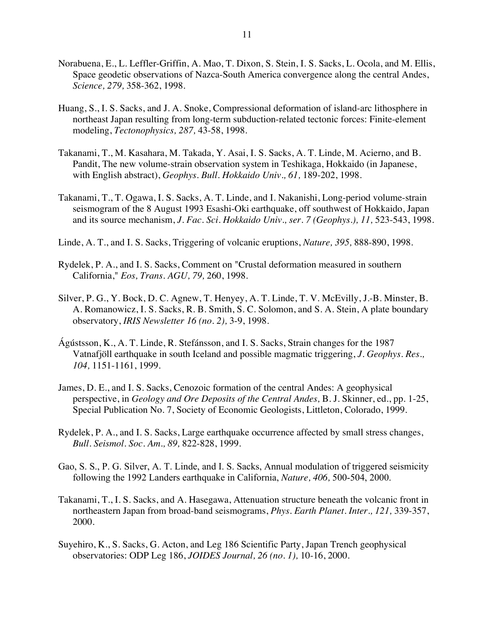- Norabuena, E., L. Leffler-Griffin, A. Mao, T. Dixon, S. Stein, I. S. Sacks, L. Ocola, and M. Ellis, Space geodetic observations of Nazca-South America convergence along the central Andes, *Science, 279,* 358-362, 1998.
- Huang, S., I. S. Sacks, and J. A. Snoke, Compressional deformation of island-arc lithosphere in northeast Japan resulting from long-term subduction-related tectonic forces: Finite-element modeling, *Tectonophysics, 287,* 43-58, 1998.
- Takanami, T., M. Kasahara, M. Takada, Y. Asai, I. S. Sacks, A. T. Linde, M. Acierno, and B. Pandit, The new volume-strain observation system in Teshikaga, Hokkaido (in Japanese, with English abstract), *Geophys. Bull. Hokkaido Univ., 61,* 189-202, 1998.
- Takanami, T., T. Ogawa, I. S. Sacks, A. T. Linde, and I. Nakanishi, Long-period volume-strain seismogram of the 8 August 1993 Esashi-Oki earthquake, off southwest of Hokkaido, Japan and its source mechanism, *J. Fac. Sci. Hokkaido Univ., ser. 7 (Geophys.), 11,* 523-543, 1998.
- Linde, A. T., and I. S. Sacks, Triggering of volcanic eruptions, *Nature, 395,* 888-890, 1998.
- Rydelek, P. A., and I. S. Sacks, Comment on "Crustal deformation measured in southern California," *Eos, Trans. AGU, 79,* 260, 1998.
- Silver, P. G., Y. Bock, D. C. Agnew, T. Henyey, A. T. Linde, T. V. McEvilly, J.-B. Minster, B. A. Romanowicz, I. S. Sacks, R. B. Smith, S. C. Solomon, and S. A. Stein, A plate boundary observatory, *IRIS Newsletter 16 (no. 2),* 3-9, 1998.
- Ágústsson, K., A. T. Linde, R. Stefánsson, and I. S. Sacks, Strain changes for the 1987 Vatnafjöll earthquake in south Iceland and possible magmatic triggering, *J. Geophys. Res., 104,* 1151-1161, 1999.
- James, D. E., and I. S. Sacks, Cenozoic formation of the central Andes: A geophysical perspective, in *Geology and Ore Deposits of the Central Andes,* B. J. Skinner, ed., pp. 1-25, Special Publication No. 7, Society of Economic Geologists, Littleton, Colorado, 1999.
- Rydelek, P. A., and I. S. Sacks, Large earthquake occurrence affected by small stress changes, *Bull. Seismol. Soc. Am., 89,* 822-828, 1999.
- Gao, S. S., P. G. Silver, A. T. Linde, and I. S. Sacks, Annual modulation of triggered seismicity following the 1992 Landers earthquake in California, *Nature, 406,* 500-504, 2000.
- Takanami, T., I. S. Sacks, and A. Hasegawa, Attenuation structure beneath the volcanic front in northeastern Japan from broad-band seismograms, *Phys. Earth Planet. Inter., 121,* 339-357, 2000.
- Suyehiro, K., S. Sacks, G. Acton, and Leg 186 Scientific Party, Japan Trench geophysical observatories: ODP Leg 186, *JOIDES Journal, 26 (no. 1),* 10-16, 2000.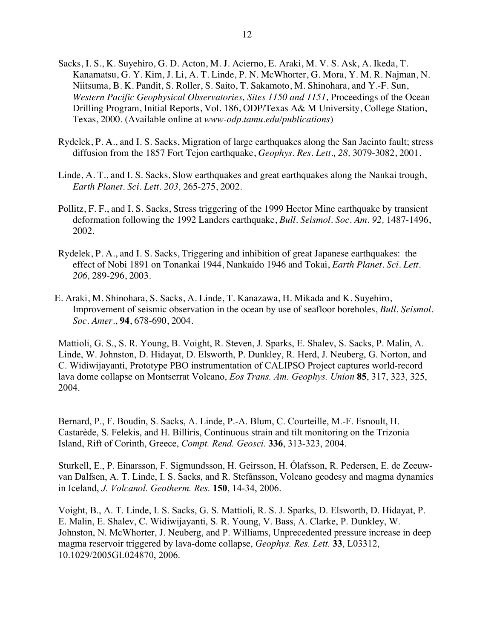- Sacks, I. S., K. Suyehiro, G. D. Acton, M. J. Acierno, E. Araki, M. V. S. Ask, A. Ikeda, T. Kanamatsu, G. Y. Kim, J. Li, A. T. Linde, P. N. McWhorter, G. Mora, Y. M. R. Najman, N. Niitsuma, B. K. Pandit, S. Roller, S. Saito, T. Sakamoto, M. Shinohara, and Y.-F. Sun, *Western Pacific Geophysical Observatories, Sites 1150 and 1151,* Proceedings of the Ocean Drilling Program, Initial Reports, Vol. 186, ODP/Texas A& M University, College Station, Texas, 2000. (Available online at *www-odp.tamu.edu/publications*)
- Rydelek, P. A., and I. S. Sacks, Migration of large earthquakes along the San Jacinto fault; stress diffusion from the 1857 Fort Tejon earthquake, *Geophys. Res. Lett., 28,* 3079-3082, 2001.
- Linde, A. T., and I. S. Sacks, Slow earthquakes and great earthquakes along the Nankai trough, *Earth Planet. Sci. Lett. 203,* 265-275, 2002.
- Pollitz, F. F., and I. S. Sacks, Stress triggering of the 1999 Hector Mine earthquake by transient deformation following the 1992 Landers earthquake, *Bull. Seismol. Soc. Am. 92,* 1487-1496, 2002.
- Rydelek, P. A., and I. S. Sacks, Triggering and inhibition of great Japanese earthquakes: the effect of Nobi 1891 on Tonankai 1944, Nankaido 1946 and Tokai, *Earth Planet. Sci. Lett. 206,* 289-296, 2003.
- E. Araki, M. Shinohara, S. Sacks, A. Linde, T. Kanazawa, H. Mikada and K. Suyehiro, Improvement of seismic observation in the ocean by use of seafloor boreholes, *Bull. Seismol. Soc. Amer*., **94**, 678-690, 2004.

Mattioli, G. S., S. R. Young, B. Voight, R. Steven, J. Sparks, E. Shalev, S. Sacks, P. Malin, A. Linde, W. Johnston, D. Hidayat, D. Elsworth, P. Dunkley, R. Herd, J. Neuberg, G. Norton, and C. Widiwijayanti, Prototype PBO instrumentation of CALIPSO Project captures world-record lava dome collapse on Montserrat Volcano, *Eos Trans. Am. Geophys. Union* **85**, 317, 323, 325, 2004.

Bernard, P., F. Boudin, S. Sacks, A. Linde, P.-A. Blum, C. Courteille, M.-F. Esnoult, H. Castarède, S. Felekis, and H. Billiris, Continuous strain and tilt monitoring on the Trizonia Island, Rift of Corinth, Greece, *Compt. Rend. Geosci.* **336**, 313-323, 2004.

Sturkell, E., P. Einarsson, F. Sigmundsson, H. Geirsson, H. Ólafsson, R. Pedersen, E. de Zeeuwvan Dalfsen, A. T. Linde, I. S. Sacks, and R. Stefánsson, Volcano geodesy and magma dynamics in Iceland, *J. Volcanol. Geotherm. Res.* **150**, 14-34, 2006.

Voight, B., A. T. Linde, I. S. Sacks, G. S. Mattioli, R. S. J. Sparks, D. Elsworth, D. Hidayat, P. E. Malin, E. Shalev, C. Widiwijayanti, S. R. Young, V. Bass, A. Clarke, P. Dunkley, W. Johnston, N. McWhorter, J. Neuberg, and P. Williams, Unprecedented pressure increase in deep magma reservoir triggered by lava-dome collapse, *Geophys. Res. Lett.* **33**, L03312, 10.1029/2005GL024870, 2006.